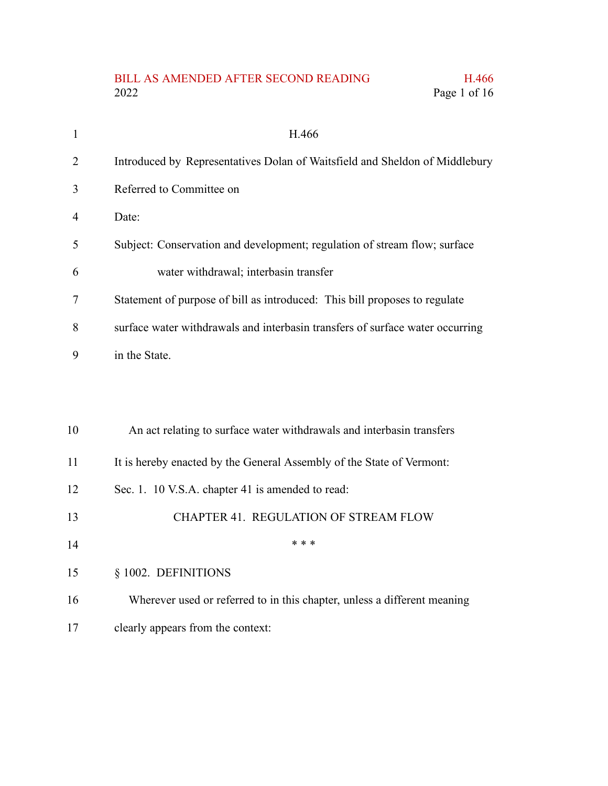## BILL AS AMENDED AFTER SECOND READING H.466<br>2022 Page 1 of 16 Page 1 of 16

| $\mathbf{1}$   | H.466                                                                         |
|----------------|-------------------------------------------------------------------------------|
| $\overline{2}$ | Introduced by Representatives Dolan of Waitsfield and Sheldon of Middlebury   |
| 3              | Referred to Committee on                                                      |
| $\overline{4}$ | Date:                                                                         |
| 5              | Subject: Conservation and development; regulation of stream flow; surface     |
| 6              | water withdrawal; interbasin transfer                                         |
| 7              | Statement of purpose of bill as introduced: This bill proposes to regulate    |
| 8              | surface water withdrawals and interbasin transfers of surface water occurring |
| 9              | in the State.                                                                 |
|                |                                                                               |
|                |                                                                               |
| 10             | An act relating to surface water withdrawals and interbasin transfers         |
| 11             | It is hereby enacted by the General Assembly of the State of Vermont:         |
| 12             | Sec. 1. 10 V.S.A. chapter 41 is amended to read:                              |
| 13             | CHAPTER 41. REGULATION OF STREAM FLOW                                         |
| 14             | * * *                                                                         |
| 15             | § 1002. DEFINITIONS                                                           |
| 16             | Wherever used or referred to in this chapter, unless a different meaning      |
| 17             | clearly appears from the context:                                             |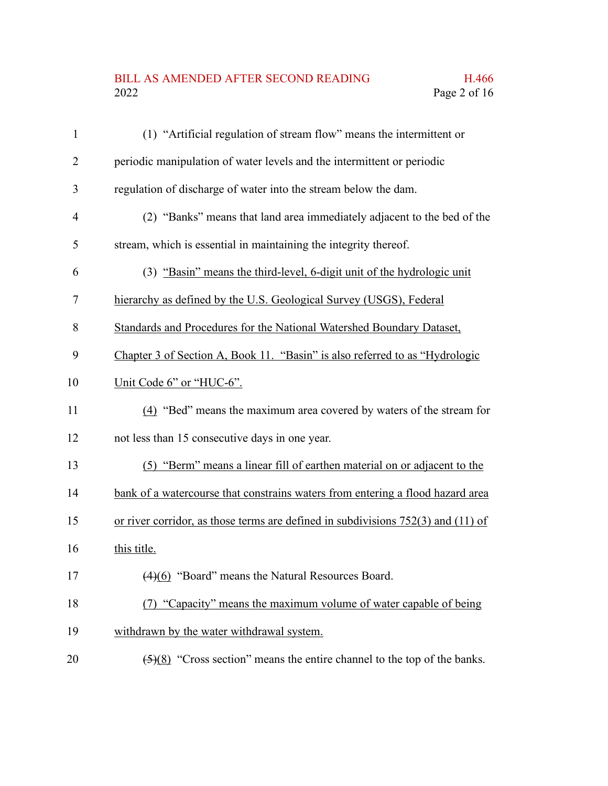#### BILL AS AMENDED AFTER SECOND READING H.466<br>2022 Page 2 of 16 Page 2 of  $16$

| $\mathbf{1}$   | (1) "Artificial regulation of stream flow" means the intermittent or                         |
|----------------|----------------------------------------------------------------------------------------------|
| $\overline{2}$ | periodic manipulation of water levels and the intermittent or periodic                       |
| 3              | regulation of discharge of water into the stream below the dam.                              |
| 4              | (2) "Banks" means that land area immediately adjacent to the bed of the                      |
| 5              | stream, which is essential in maintaining the integrity thereof.                             |
| 6              | (3) "Basin" means the third-level, 6-digit unit of the hydrologic unit                       |
| 7              | hierarchy as defined by the U.S. Geological Survey (USGS), Federal                           |
| 8              | Standards and Procedures for the National Watershed Boundary Dataset,                        |
| 9              | Chapter 3 of Section A, Book 11. "Basin" is also referred to as "Hydrologic                  |
| 10             | Unit Code 6" or "HUC-6".                                                                     |
| 11             | (4) "Bed" means the maximum area covered by waters of the stream for                         |
| 12             | not less than 15 consecutive days in one year.                                               |
| 13             | (5) "Berm" means a linear fill of earthen material on or adjacent to the                     |
| 14             | bank of a watercourse that constrains waters from entering a flood hazard area               |
| 15             | or river corridor, as those terms are defined in subdivisions $752(3)$ and $(11)$ of         |
| 16             | this title.                                                                                  |
| 17             | (4)(6) "Board" means the Natural Resources Board.                                            |
| 18             | (7) "Capacity" means the maximum volume of water capable of being                            |
| 19             | withdrawn by the water withdrawal system.                                                    |
| 20             | $\left(\frac{5}{8}\right)$ "Cross section" means the entire channel to the top of the banks. |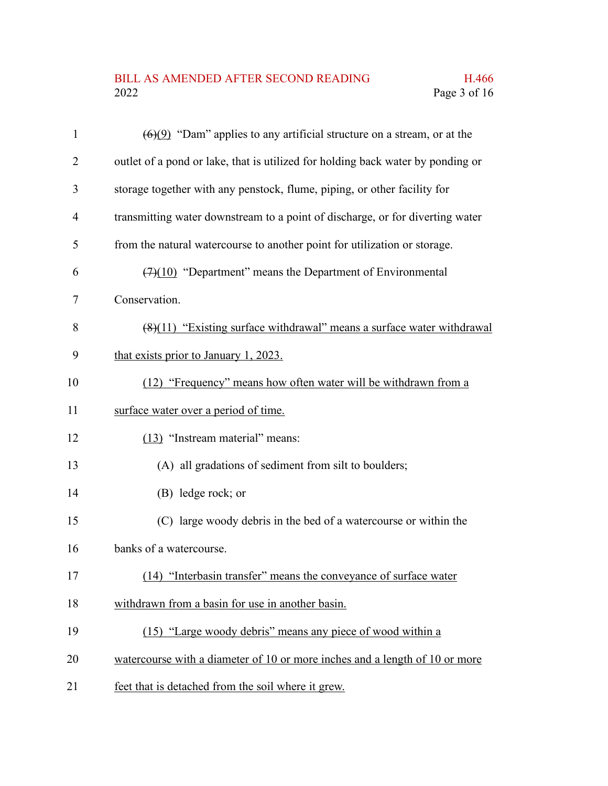# BILL AS AMENDED AFTER SECOND READING H.466<br>2022 Page 3 of 16

| $\mathbf{1}$   | $\left(\frac{6}{9}\right)$ "Dam" applies to any artificial structure on a stream, or at the |
|----------------|---------------------------------------------------------------------------------------------|
| $\overline{2}$ | outlet of a pond or lake, that is utilized for holding back water by ponding or             |
| 3              | storage together with any penstock, flume, piping, or other facility for                    |
| $\overline{4}$ | transmitting water downstream to a point of discharge, or for diverting water               |
| 5              | from the natural watercourse to another point for utilization or storage.                   |
| 6              | $(7)(10)$ "Department" means the Department of Environmental                                |
| 7              | Conservation.                                                                               |
| 8              | $(8)(11)$ "Existing surface withdrawal" means a surface water withdrawal                    |
| 9              | that exists prior to January 1, 2023.                                                       |
| 10             | (12) "Frequency" means how often water will be withdrawn from a                             |
| 11             | surface water over a period of time.                                                        |
| 12             | (13) "Instream material" means:                                                             |
| 13             | (A) all gradations of sediment from silt to boulders;                                       |
| 14             | (B) ledge rock; or                                                                          |
| 15             | (C) large woody debris in the bed of a watercourse or within the                            |
| 16             | banks of a watercourse.                                                                     |
| 17             | "Interbasin transfer" means the conveyance of surface water<br>(14)                         |
| 18             | withdrawn from a basin for use in another basin.                                            |
| 19             | (15) "Large woody debris" means any piece of wood within a                                  |
| 20             | watercourse with a diameter of 10 or more inches and a length of 10 or more                 |
| 21             | feet that is detached from the soil where it grew.                                          |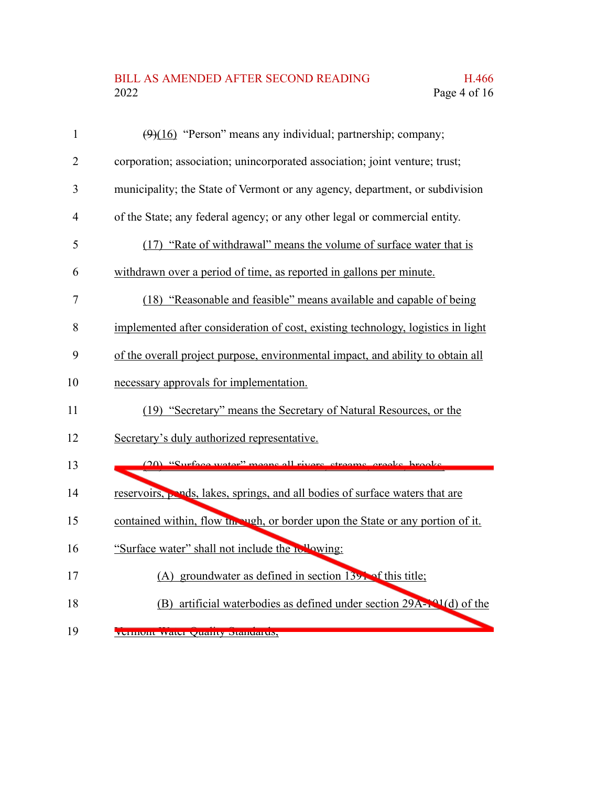## BILL AS AMENDED AFTER SECOND READING H.466<br>2022 Page 4 of 16 Page 4 of 16

| $\mathbf{1}$   | $(9)(16)$ "Person" means any individual; partnership; company;                   |
|----------------|----------------------------------------------------------------------------------|
| $\overline{2}$ | corporation; association; unincorporated association; joint venture; trust;      |
| 3              | municipality; the State of Vermont or any agency, department, or subdivision     |
| $\overline{4}$ | of the State; any federal agency; or any other legal or commercial entity.       |
| 5              | (17) "Rate of withdrawal" means the volume of surface water that is              |
| 6              | withdrawn over a period of time, as reported in gallons per minute.              |
| 7              | (18) "Reasonable and feasible" means available and capable of being              |
| 8              | implemented after consideration of cost, existing technology, logistics in light |
| 9              | of the overall project purpose, environmental impact, and ability to obtain all  |
| 10             | necessary approvals for implementation.                                          |
| 11             | (19) "Secretary" means the Secretary of Natural Resources, or the                |
| 12             | Secretary's duly authorized representative.                                      |
| 13             | (20) "Surface water" means all rivers streams creeks brooks                      |
| 14             | reservoirs, pends, lakes, springs, and all bodies of surface waters that are     |
| 15             | contained within, flow the vigh, or border upon the State or any portion of it.  |
| 16             | "Surface water" shall not include the relaying:                                  |
| 17             | (A) groundwater as defined in section $139$ . of this title;                     |
| 18             | (B) artificial waterbodies as defined under section 29A-101(d) of the            |
| 19             | VUHIIUIII WALU QUAHUY DIAHUAHUN,                                                 |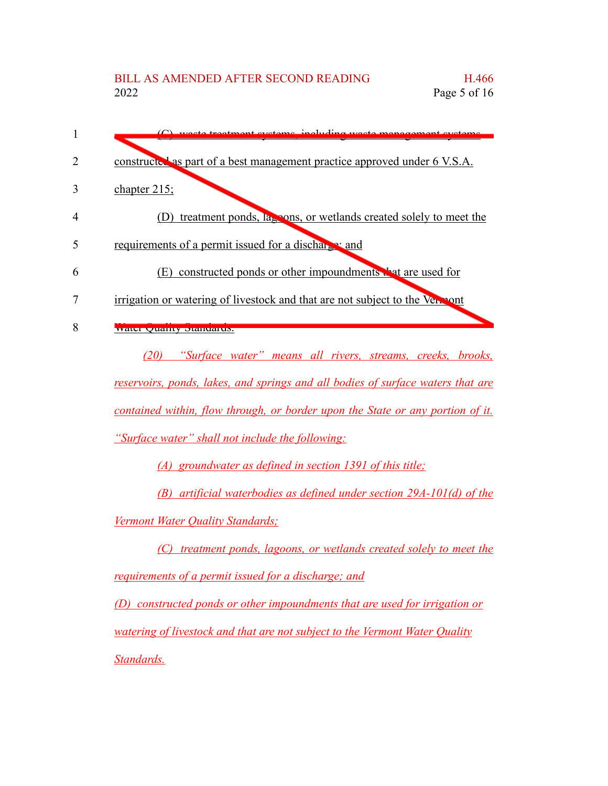ingluding waste management systems constructed as part of a best management practice approved under 6 V.S.A. chapter 215; (D) treatment ponds, lagoons, or wetlands created solely to meet the requirements of a permit issued for a discharge; and (E) constructed ponds or other impoundments  $\mathbf{r}$  at are used for irrigation or watering of livestock and that are not subject to the Vermont Water Quality Standards. *(20) "Surface water" means all rivers, streams, creeks, brooks, reservoirs, ponds, lakes, and springs and all bodies of surface waters that are contained within, flow through, or border upon the State or any portion of it. "Surface water" shall not include the following: (A) groundwater as defined in section 1391 of this title; (B) artificial waterbodies as defined under section 29A-101(d) of the Vermont Water Quality Standards; (C) treatment ponds, lagoons, or wetlands created solely to meet the requirements of a permit issued for a discharge; and (D) constructed ponds or other impoundments that are used for irrigation or watering of livestock and that are not subject to the Vermont Water Quality Standards.* 1 2 3 4 5 6 7 8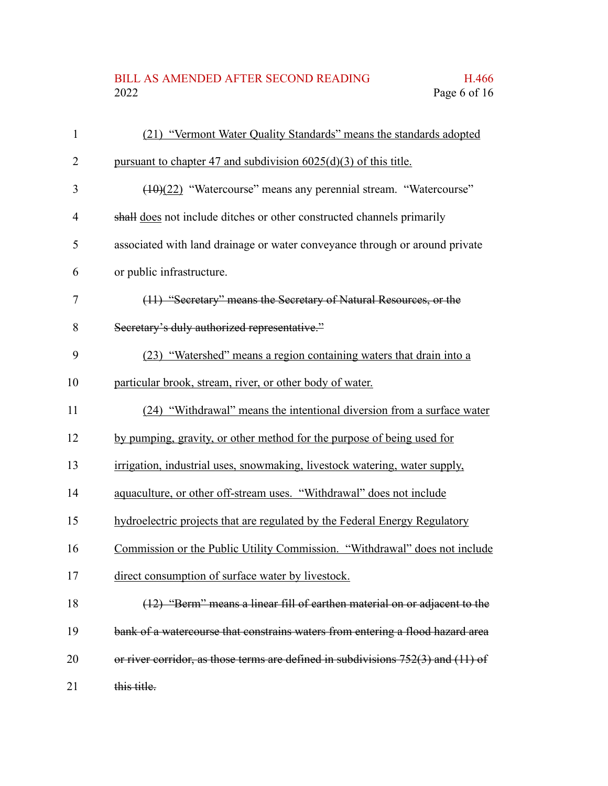## BILL AS AMENDED AFTER SECOND READING H.466<br>2022 Page 6 of 16 Page 6 of 16

| $\mathbf{1}$ | (21) "Vermont Water Quality Standards" means the standards adopted                   |
|--------------|--------------------------------------------------------------------------------------|
| 2            | pursuant to chapter 47 and subdivision $6025(d)(3)$ of this title.                   |
| 3            | (10)(22) "Watercourse" means any perennial stream. "Watercourse"                     |
| 4            | shall does not include ditches or other constructed channels primarily               |
| 5            | associated with land drainage or water conveyance through or around private          |
| 6            | or public infrastructure.                                                            |
| 7            | (11) "Secretary" means the Secretary of Natural Resources, or the                    |
| 8            | Secretary's duly authorized representative."                                         |
| 9            | (23) "Watershed" means a region containing waters that drain into a                  |
| 10           | particular brook, stream, river, or other body of water.                             |
| 11           | (24) "Withdrawal" means the intentional diversion from a surface water               |
| 12           | by pumping, gravity, or other method for the purpose of being used for               |
| 13           | irrigation, industrial uses, snowmaking, livestock watering, water supply,           |
| 14           | aquaculture, or other off-stream uses. "Withdrawal" does not include                 |
| 15           | hydroelectric projects that are regulated by the Federal Energy Regulatory           |
| 16           | Commission or the Public Utility Commission. "Withdrawal" does not include           |
| 17           | direct consumption of surface water by livestock.                                    |
| 18           | (12) "Berm" means a linear fill of earthen material on or adjacent to the            |
| 19           | bank of a watercourse that constrains waters from entering a flood hazard area       |
| 20           | or river corridor, as those terms are defined in subdivisions $752(3)$ and $(11)$ of |
| 21           | this title.                                                                          |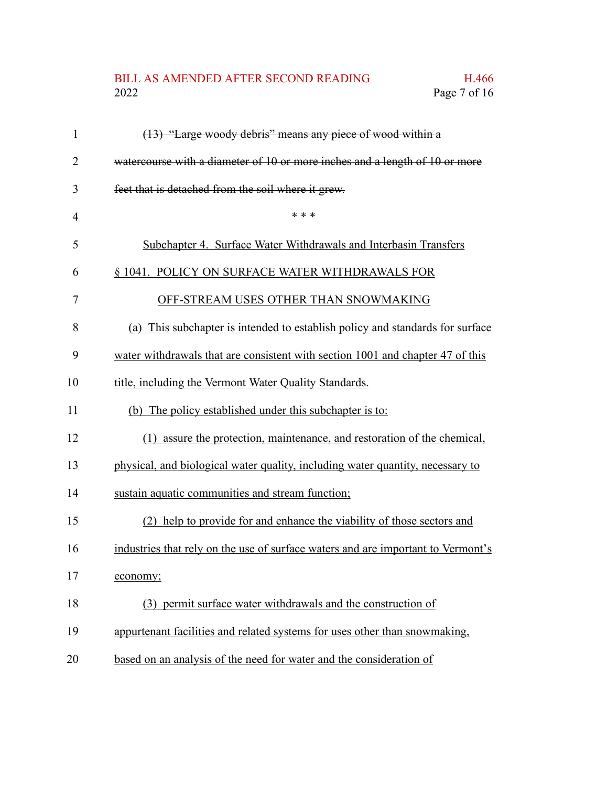## BILL AS AMENDED AFTER SECOND READING H.466<br>2022 Page 7 of 16 Page 7 of 16

| $\mathbf{1}$   | (13) "Large woody debris" means any piece of wood within a                       |
|----------------|----------------------------------------------------------------------------------|
| $\overline{2}$ | watercourse with a diameter of 10 or more inches and a length of 10 or more      |
| 3              | feet that is detached from the soil where it grew.                               |
| $\overline{4}$ | * * *                                                                            |
| 5              | Subchapter 4. Surface Water Withdrawals and Interbasin Transfers                 |
| 6              | § 1041. POLICY ON SURFACE WATER WITHDRAWALS FOR                                  |
| 7              | OFF-STREAM USES OTHER THAN SNOWMAKING                                            |
| 8              | (a) This subchapter is intended to establish policy and standards for surface    |
| 9              | water withdrawals that are consistent with section 1001 and chapter 47 of this   |
| 10             | title, including the Vermont Water Quality Standards.                            |
| 11             | (b) The policy established under this subchapter is to:                          |
| 12             | (1) assure the protection, maintenance, and restoration of the chemical,         |
| 13             | physical, and biological water quality, including water quantity, necessary to   |
| 14             | sustain aquatic communities and stream function;                                 |
| 15             | (2) help to provide for and enhance the viability of those sectors and           |
| 16             | industries that rely on the use of surface waters and are important to Vermont's |
| 17             | economy;                                                                         |
| 18             | (3) permit surface water withdrawals and the construction of                     |
| 19             | appurtenant facilities and related systems for uses other than snowmaking,       |
| 20             | based on an analysis of the need for water and the consideration of              |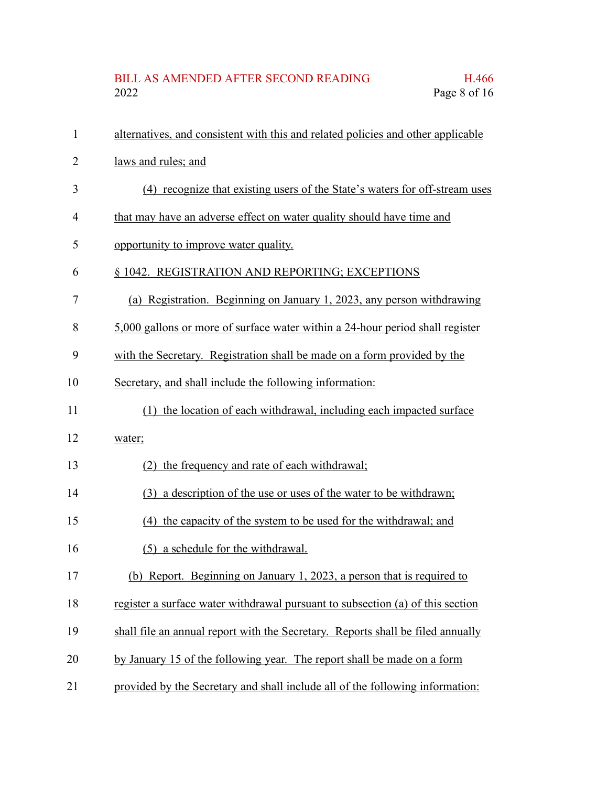| $\mathbf{1}$ | alternatives, and consistent with this and related policies and other applicable |
|--------------|----------------------------------------------------------------------------------|
| 2            | laws and rules; and                                                              |
| 3            | (4) recognize that existing users of the State's waters for off-stream uses      |
| 4            | that may have an adverse effect on water quality should have time and            |
| 5            | opportunity to improve water quality.                                            |
| 6            | § 1042. REGISTRATION AND REPORTING; EXCEPTIONS                                   |
| 7            | (a) Registration. Beginning on January 1, 2023, any person withdrawing           |
| 8            | 5,000 gallons or more of surface water within a 24-hour period shall register    |
| 9            | with the Secretary. Registration shall be made on a form provided by the         |
| 10           | Secretary, and shall include the following information:                          |
| 11           | (1) the location of each withdrawal, including each impacted surface             |
| 12           | water;                                                                           |
| 13           | (2) the frequency and rate of each withdrawal;                                   |
| 14           | (3) a description of the use or uses of the water to be withdrawn;               |
| 15           | (4) the capacity of the system to be used for the withdrawal; and                |
| 16           | (5) a schedule for the withdrawal.                                               |
| 17           | (b) Report. Beginning on January 1, 2023, a person that is required to           |
| 18           | register a surface water withdrawal pursuant to subsection (a) of this section   |
| 19           | shall file an annual report with the Secretary. Reports shall be filed annually  |
| 20           | by January 15 of the following year. The report shall be made on a form          |
| 21           | provided by the Secretary and shall include all of the following information:    |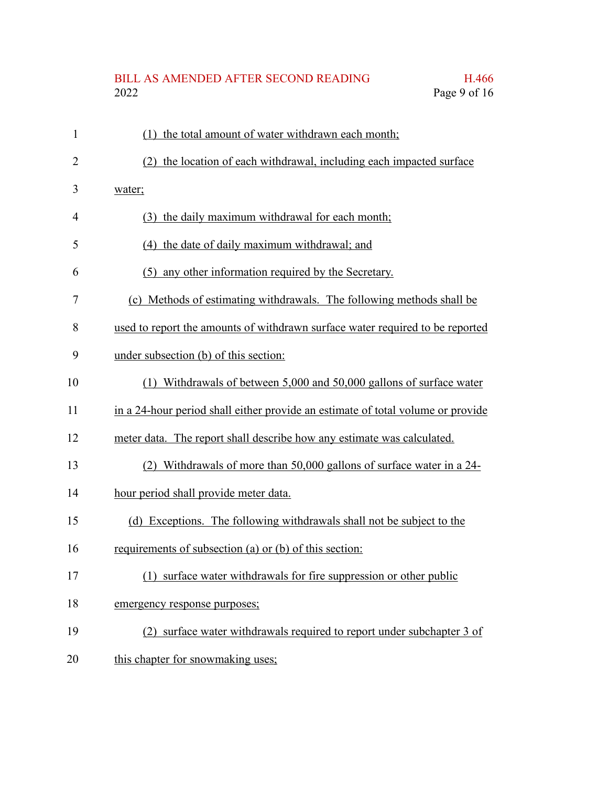## BILL AS AMENDED AFTER SECOND READING H.466<br>2022 Page 9 of 16 Page 9 of 16

| $\mathbf{1}$   | (1) the total amount of water withdrawn each month;                             |
|----------------|---------------------------------------------------------------------------------|
| $\overline{2}$ | (2) the location of each withdrawal, including each impacted surface            |
| 3              | water;                                                                          |
| 4              | (3) the daily maximum withdrawal for each month;                                |
| 5              | (4) the date of daily maximum withdrawal; and                                   |
| 6              | (5) any other information required by the Secretary.                            |
| 7              | (c) Methods of estimating withdrawals. The following methods shall be           |
| 8              | used to report the amounts of withdrawn surface water required to be reported   |
| 9              | under subsection (b) of this section:                                           |
| 10             | (1) Withdrawals of between 5,000 and 50,000 gallons of surface water            |
| 11             | in a 24-hour period shall either provide an estimate of total volume or provide |
| 12             | meter data. The report shall describe how any estimate was calculated.          |
| 13             | (2) Withdrawals of more than 50,000 gallons of surface water in a 24-           |
| 14             | hour period shall provide meter data.                                           |
| 15             | (d) Exceptions. The following withdrawals shall not be subject to the           |
| 16             | requirements of subsection (a) or (b) of this section:                          |
| 17             | surface water withdrawals for fire suppression or other public<br>(1)           |
| 18             | emergency response purposes;                                                    |
| 19             | (2) surface water withdrawals required to report under subchapter 3 of          |
| 20             | this chapter for snowmaking uses;                                               |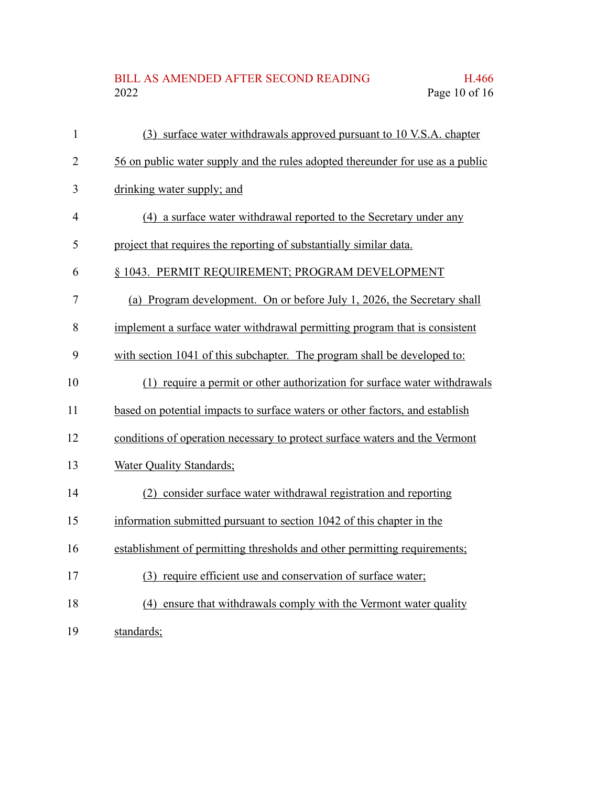## BILL AS AMENDED AFTER SECOND READING H.466<br>2022 Page 10 of 16 Page 10 of 16

| $\mathbf{1}$   | (3) surface water withdrawals approved pursuant to 10 V.S.A. chapter           |
|----------------|--------------------------------------------------------------------------------|
| $\overline{2}$ | 56 on public water supply and the rules adopted thereunder for use as a public |
| 3              | drinking water supply; and                                                     |
| $\overline{4}$ | (4) a surface water withdrawal reported to the Secretary under any             |
| 5              | project that requires the reporting of substantially similar data.             |
| 6              | § 1043. PERMIT REQUIREMENT; PROGRAM DEVELOPMENT                                |
| $\tau$         | (a) Program development. On or before July 1, 2026, the Secretary shall        |
| 8              | implement a surface water withdrawal permitting program that is consistent     |
| 9              | with section 1041 of this subchapter. The program shall be developed to:       |
| 10             | (1) require a permit or other authorization for surface water withdrawals      |
| 11             | based on potential impacts to surface waters or other factors, and establish   |
| 12             | conditions of operation necessary to protect surface waters and the Vermont    |
| 13             | Water Quality Standards;                                                       |
| 14             | (2) consider surface water withdrawal registration and reporting               |
| 15             | information submitted pursuant to section 1042 of this chapter in the          |
| 16             | establishment of permitting thresholds and other permitting requirements;      |
| 17             | (3) require efficient use and conservation of surface water;                   |
| 18             | (4) ensure that withdrawals comply with the Vermont water quality              |
| 19             | standards;                                                                     |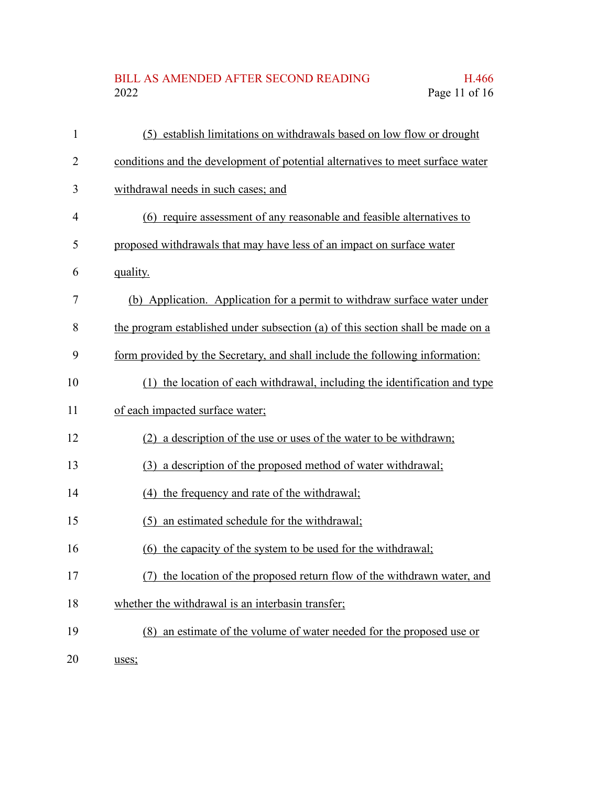## BILL AS AMENDED AFTER SECOND READING H.466<br>2022 Page 11 of 16 Page 11 of 16

| $\mathbf{1}$ | (5) establish limitations on withdrawals based on low flow or drought           |
|--------------|---------------------------------------------------------------------------------|
| 2            | conditions and the development of potential alternatives to meet surface water  |
| 3            | withdrawal needs in such cases; and                                             |
| 4            | (6) require assessment of any reasonable and feasible alternatives to           |
| 5            | proposed withdrawals that may have less of an impact on surface water           |
| 6            | quality.                                                                        |
| 7            | (b) Application. Application for a permit to withdraw surface water under       |
| 8            | the program established under subsection (a) of this section shall be made on a |
| 9            | form provided by the Secretary, and shall include the following information:    |
| 10           | (1) the location of each withdrawal, including the identification and type      |
| 11           | of each impacted surface water;                                                 |
| 12           | (2) a description of the use or uses of the water to be withdrawn;              |
| 13           | (3) a description of the proposed method of water withdrawal;                   |
| 14           | (4) the frequency and rate of the withdrawal;                                   |
| 15           | (5) an estimated schedule for the withdrawal;                                   |
| 16           | (6) the capacity of the system to be used for the withdrawal;                   |
| 17           | the location of the proposed return flow of the withdrawn water, and            |
| 18           | whether the withdrawal is an interbasin transfer;                               |
| 19           | (8) an estimate of the volume of water needed for the proposed use or           |
|              |                                                                                 |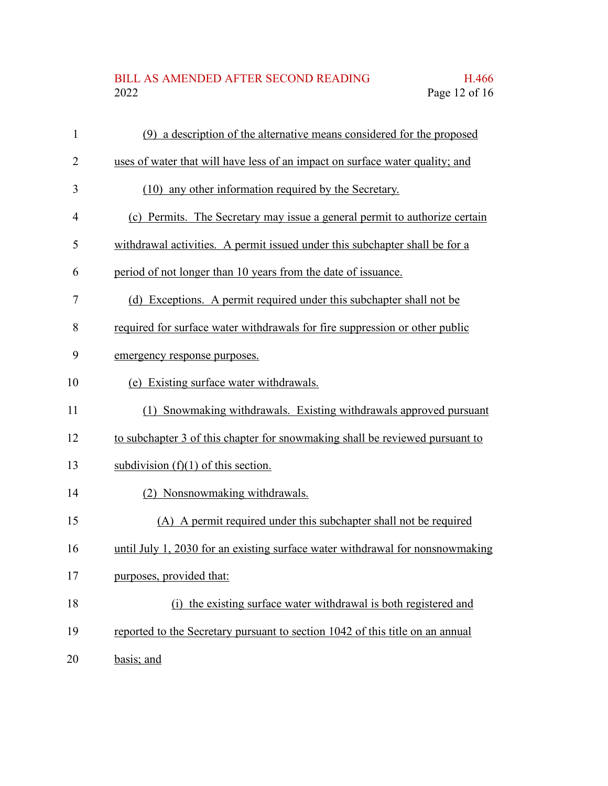## BILL AS AMENDED AFTER SECOND READING H.466<br>2022 Page 12 of 16 Page 12 of 16

| $\mathbf{1}$   | (9) a description of the alternative means considered for the proposed        |
|----------------|-------------------------------------------------------------------------------|
| $\overline{2}$ | uses of water that will have less of an impact on surface water quality; and  |
| 3              | (10) any other information required by the Secretary.                         |
| $\overline{4}$ | (c) Permits. The Secretary may issue a general permit to authorize certain    |
| 5              | withdrawal activities. A permit issued under this subchapter shall be for a   |
| 6              | period of not longer than 10 years from the date of issuance.                 |
| 7              | (d) Exceptions. A permit required under this subchapter shall not be          |
| 8              | required for surface water withdrawals for fire suppression or other public   |
| 9              | emergency response purposes.                                                  |
| 10             | (e) Existing surface water withdrawals.                                       |
| 11             | (1) Snowmaking withdrawals. Existing withdrawals approved pursuant            |
| 12             | to subchapter 3 of this chapter for snowmaking shall be reviewed pursuant to  |
| 13             | subdivision $(f)(1)$ of this section.                                         |
| 14             | (2) Nonsnowmaking withdrawals.                                                |
| 15             | (A) A permit required under this subchapter shall not be required             |
| 16             | until July 1, 2030 for an existing surface water withdrawal for nonsnowmaking |
| 17             | purposes, provided that:                                                      |
| 18             | (i) the existing surface water withdrawal is both registered and              |
| 19             | reported to the Secretary pursuant to section 1042 of this title on an annual |
| 20             | basis; and                                                                    |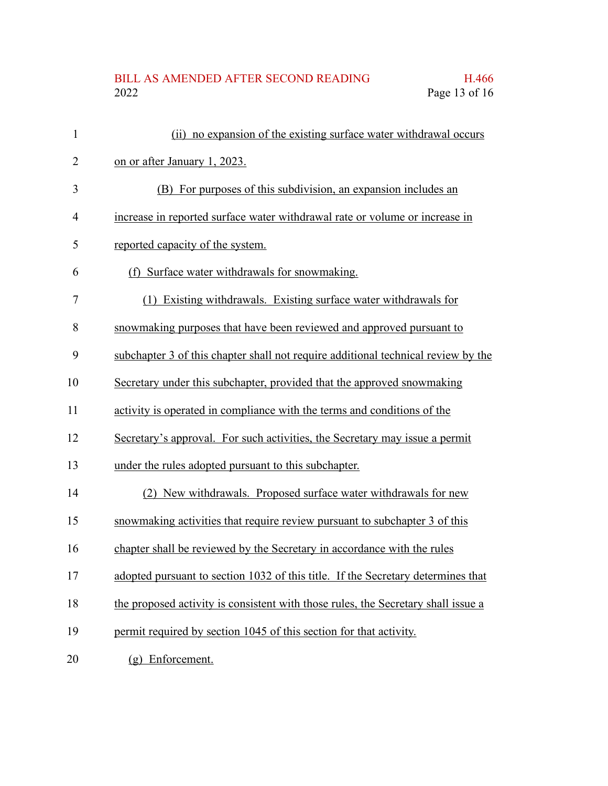## BILL AS AMENDED AFTER SECOND READING H.466<br>2022 Page 13 of 16 Page 13 of 16

| 1              | (ii) no expansion of the existing surface water withdrawal occurs                 |
|----------------|-----------------------------------------------------------------------------------|
| $\overline{2}$ | on or after January 1, 2023.                                                      |
| 3              | (B) For purposes of this subdivision, an expansion includes an                    |
| $\overline{4}$ | increase in reported surface water withdrawal rate or volume or increase in       |
| 5              | reported capacity of the system.                                                  |
| 6              | (f) Surface water withdrawals for snowmaking.                                     |
| 7              | (1) Existing withdrawals. Existing surface water withdrawals for                  |
| 8              | snowmaking purposes that have been reviewed and approved pursuant to              |
| 9              | subchapter 3 of this chapter shall not require additional technical review by the |
| 10             | Secretary under this subchapter, provided that the approved snowmaking            |
| 11             | activity is operated in compliance with the terms and conditions of the           |
| 12             | Secretary's approval. For such activities, the Secretary may issue a permit       |
| 13             | under the rules adopted pursuant to this subchapter.                              |
| 14             | (2) New withdrawals. Proposed surface water withdrawals for new                   |
| 15             | snowmaking activities that require review pursuant to subchapter 3 of this        |
| 16             | chapter shall be reviewed by the Secretary in accordance with the rules           |
| 17             | adopted pursuant to section 1032 of this title. If the Secretary determines that  |
| 18             | the proposed activity is consistent with those rules, the Secretary shall issue a |
| 19             | permit required by section 1045 of this section for that activity.                |
| 20             | (g) Enforcement.                                                                  |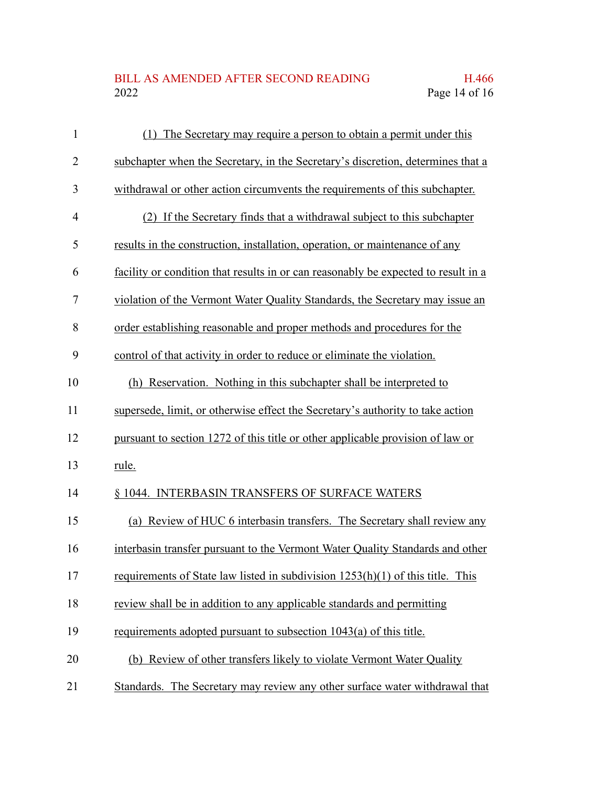## BILL AS AMENDED AFTER SECOND READING H.466<br>2022 Page 14 of 16 Page 14 of 16

| $\mathbf{1}$   | (1) The Secretary may require a person to obtain a permit under this               |
|----------------|------------------------------------------------------------------------------------|
| $\overline{2}$ | subchapter when the Secretary, in the Secretary's discretion, determines that a    |
| 3              | withdrawal or other action circumvents the requirements of this subchapter.        |
| $\overline{4}$ | (2) If the Secretary finds that a withdrawal subject to this subchapter            |
| 5              | results in the construction, installation, operation, or maintenance of any        |
| 6              | facility or condition that results in or can reasonably be expected to result in a |
| 7              | violation of the Vermont Water Quality Standards, the Secretary may issue an       |
| 8              | order establishing reasonable and proper methods and procedures for the            |
| 9              | control of that activity in order to reduce or eliminate the violation.            |
| 10             | (h) Reservation. Nothing in this subchapter shall be interpreted to                |
| 11             | supersede, limit, or otherwise effect the Secretary's authority to take action     |
| 12             | pursuant to section 1272 of this title or other applicable provision of law or     |
| 13             | rule.                                                                              |
| 14             | § 1044. INTERBASIN TRANSFERS OF SURFACE WATERS                                     |
| 15             | (a) Review of HUC 6 interbasin transfers. The Secretary shall review any           |
| 16             | interbasin transfer pursuant to the Vermont Water Quality Standards and other      |
| 17             | requirements of State law listed in subdivision $1253(h)(1)$ of this title. This   |
| 18             | review shall be in addition to any applicable standards and permitting             |
| 19             | requirements adopted pursuant to subsection 1043(a) of this title.                 |
| 20             | (b) Review of other transfers likely to violate Vermont Water Quality              |
| 21             | Standards. The Secretary may review any other surface water withdrawal that        |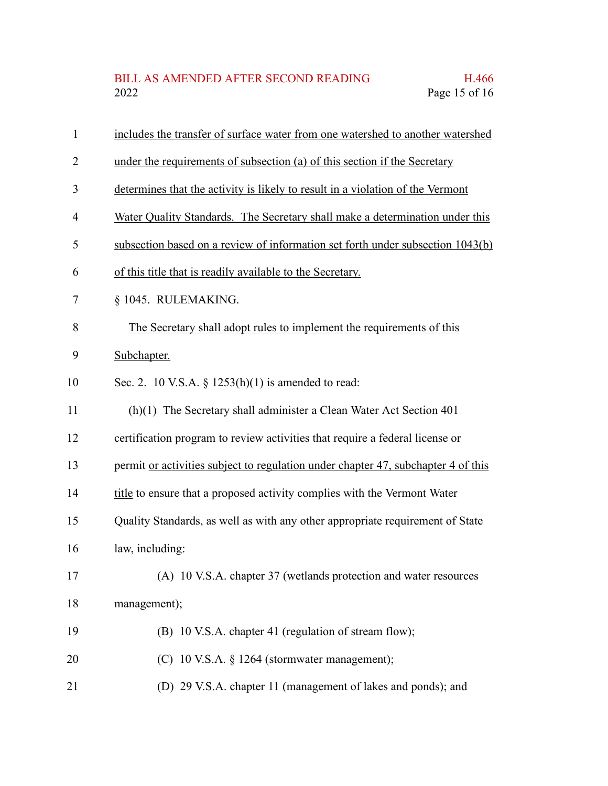| $\mathbf{1}$   | includes the transfer of surface water from one watershed to another watershed    |
|----------------|-----------------------------------------------------------------------------------|
| $\overline{2}$ | under the requirements of subsection (a) of this section if the Secretary         |
| 3              | determines that the activity is likely to result in a violation of the Vermont    |
| 4              | Water Quality Standards. The Secretary shall make a determination under this      |
| 5              | subsection based on a review of information set forth under subsection 1043(b)    |
| 6              | of this title that is readily available to the Secretary.                         |
| 7              | § 1045. RULEMAKING.                                                               |
| 8              | The Secretary shall adopt rules to implement the requirements of this             |
| 9              | Subchapter.                                                                       |
| 10             | Sec. 2. 10 V.S.A. § $1253(h)(1)$ is amended to read:                              |
| 11             | (h)(1) The Secretary shall administer a Clean Water Act Section 401               |
| 12             | certification program to review activities that require a federal license or      |
| 13             | permit or activities subject to regulation under chapter 47, subchapter 4 of this |
| 14             | title to ensure that a proposed activity complies with the Vermont Water          |
| 15             | Quality Standards, as well as with any other appropriate requirement of State     |
| 16             | law, including:                                                                   |
| 17             | (A) 10 V.S.A. chapter 37 (wetlands protection and water resources                 |
| 18             | management);                                                                      |
| 19             | (B) 10 V.S.A. chapter 41 (regulation of stream flow);                             |
| 20             | (C) 10 V.S.A. § 1264 (stormwater management);                                     |
| 21             | (D) 29 V.S.A. chapter 11 (management of lakes and ponds); and                     |